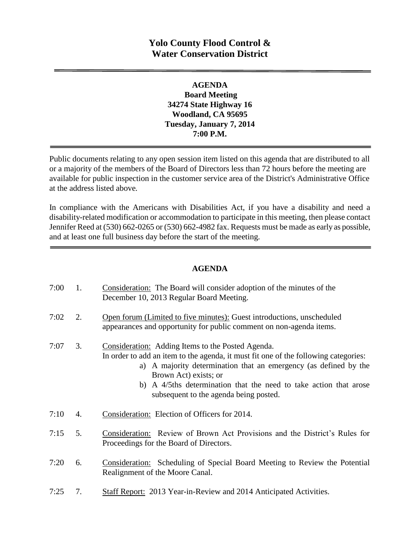# **Yolo County Flood Control & Water Conservation District**

### **AGENDA Board Meeting 34274 State Highway 16 Woodland, CA 95695 Tuesday, January 7, 2014 7:00 P.M.**

Public documents relating to any open session item listed on this agenda that are distributed to all or a majority of the members of the Board of Directors less than 72 hours before the meeting are available for public inspection in the customer service area of the District's Administrative Office at the address listed above*.* 

In compliance with the Americans with Disabilities Act, if you have a disability and need a disability-related modification or accommodation to participate in this meeting, then please contact Jennifer Reed at (530) 662-0265 or (530) 662-4982 fax. Requests must be made as early as possible, and at least one full business day before the start of the meeting.

### **AGENDA**

| 7:00 | 1. | Consideration: The Board will consider adoption of the minutes of the<br>December 10, 2013 Regular Board Meeting.                                                                                                                                                                                                                                    |
|------|----|------------------------------------------------------------------------------------------------------------------------------------------------------------------------------------------------------------------------------------------------------------------------------------------------------------------------------------------------------|
| 7:02 | 2. | Open forum (Limited to five minutes): Guest introductions, unscheduled<br>appearances and opportunity for public comment on non-agenda items.                                                                                                                                                                                                        |
| 7:07 | 3. | Consideration: Adding Items to the Posted Agenda.<br>In order to add an item to the agenda, it must fit one of the following categories:<br>a) A majority determination that an emergency (as defined by the<br>Brown Act) exists; or<br>b) A 4/5ths determination that the need to take action that arose<br>subsequent to the agenda being posted. |
| 7:10 | 4. | Consideration: Election of Officers for 2014.                                                                                                                                                                                                                                                                                                        |
| 7:15 | 5. | Consideration: Review of Brown Act Provisions and the District's Rules for<br>Proceedings for the Board of Directors.                                                                                                                                                                                                                                |
| 7:20 | 6. | <b>Consideration:</b> Scheduling of Special Board Meeting to Review the Potential<br>Realignment of the Moore Canal.                                                                                                                                                                                                                                 |
| 7:25 | 7. | <b>Staff Report: 2013 Year-in-Review and 2014 Anticipated Activities.</b>                                                                                                                                                                                                                                                                            |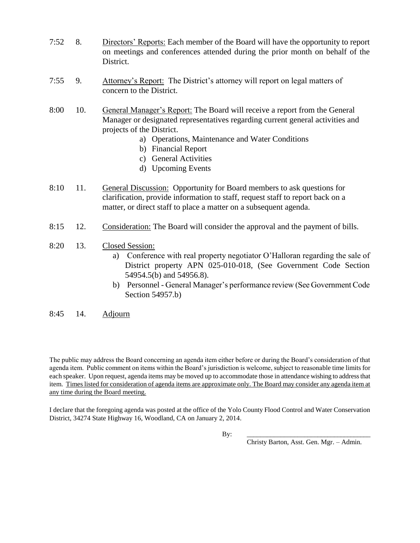- 7:52 8. Directors' Reports: Each member of the Board will have the opportunity to report on meetings and conferences attended during the prior month on behalf of the District.
- 7:55 9. Attorney's Report: The District's attorney will report on legal matters of concern to the District.
- 8:00 10. General Manager's Report: The Board will receive a report from the General Manager or designated representatives regarding current general activities and projects of the District.
	- a) Operations, Maintenance and Water Conditions
	- b) Financial Report
	- c) General Activities
	- d) Upcoming Events
- 8:10 11. General Discussion: Opportunity for Board members to ask questions for clarification, provide information to staff, request staff to report back on a matter, or direct staff to place a matter on a subsequent agenda.
- 8:15 12. Consideration: The Board will consider the approval and the payment of bills.
- 8:20 13. Closed Session:
	- a) Conference with real property negotiator O'Halloran regarding the sale of District property APN 025-010-018, (See Government Code Section 54954.5(b) and 54956.8).
	- b) Personnel General Manager's performance review (See Government Code Section 54957.b)
- 8:45 14. Adjourn

The public may address the Board concerning an agenda item either before or during the Board's consideration of that agenda item. Public comment on items within the Board's jurisdiction is welcome, subject to reasonable time limits for each speaker. Upon request, agenda items may be moved up to accommodate those in attendance wishing to address that item. Times listed for consideration of agenda items are approximate only. The Board may consider any agenda item at any time during the Board meeting.

I declare that the foregoing agenda was posted at the office of the Yolo County Flood Control and Water Conservation District, 34274 State Highway 16, Woodland, CA on January 2, 2014.

By: \_\_\_\_\_\_\_\_\_\_\_\_\_\_\_\_\_\_\_\_\_\_\_\_\_\_\_\_\_\_\_\_\_\_\_\_\_

Christy Barton, Asst. Gen. Mgr. – Admin.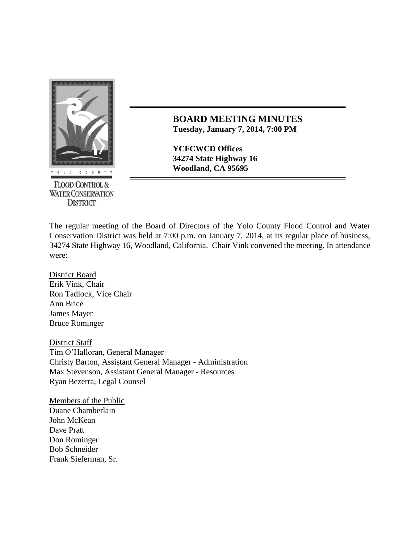

**FLOOD CONTROL & WATER CONSERVATION DISTRICT** 

**BOARD MEETING MINUTES Tuesday, January 7, 2014, 7:00 PM**

**YCFCWCD Offices 34274 State Highway 16**

The regular meeting of the Board of Directors of the Yolo County Flood Control and Water Conservation District was held at 7:00 p.m. on January 7, 2014, at its regular place of business, 34274 State Highway 16, Woodland, California. Chair Vink convened the meeting. In attendance were:

District Board Erik Vink, Chair Ron Tadlock, Vice Chair Ann Brice James Mayer Bruce Rominger

District Staff Tim O'Halloran, General Manager Christy Barton, Assistant General Manager - Administration Max Stevenson, Assistant General Manager - Resources Ryan Bezerra, Legal Counsel

Members of the Public Duane Chamberlain John McKean Dave Pratt Don Rominger Bob Schneider Frank Sieferman, Sr.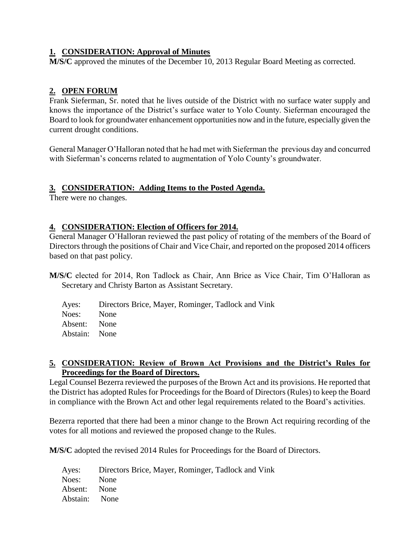### **1. CONSIDERATION: Approval of Minutes**

**M/S/C** approved the minutes of the December 10, 2013 Regular Board Meeting as corrected.

## **2. OPEN FORUM**

Frank Sieferman, Sr. noted that he lives outside of the District with no surface water supply and knows the importance of the District's surface water to Yolo County. Sieferman encouraged the Board to look for groundwater enhancement opportunities now and in the future, especially given the current drought conditions.

General Manager O'Halloran noted that he had met with Sieferman the previous day and concurred with Sieferman's concerns related to augmentation of Yolo County's groundwater.

#### **3. CONSIDERATION: Adding Items to the Posted Agenda.**

There were no changes.

#### **4. CONSIDERATION: Election of Officers for 2014.**

General Manager O'Halloran reviewed the past policy of rotating of the members of the Board of Directors through the positions of Chair and Vice Chair, and reported on the proposed 2014 officers based on that past policy.

- **M/S/C** elected for 2014, Ron Tadlock as Chair, Ann Brice as Vice Chair, Tim O'Halloran as Secretary and Christy Barton as Assistant Secretary.
	- Ayes: Directors Brice, Mayer, Rominger, Tadlock and Vink Noes: None Absent: None Abstain: None

#### **5. CONSIDERATION: Review of Brown Act Provisions and the District's Rules for Proceedings for the Board of Directors.**

Legal Counsel Bezerra reviewed the purposes of the Brown Act and its provisions. He reported that the District has adopted Rules for Proceedings for the Board of Directors (Rules) to keep the Board in compliance with the Brown Act and other legal requirements related to the Board's activities.

Bezerra reported that there had been a minor change to the Brown Act requiring recording of the votes for all motions and reviewed the proposed change to the Rules.

**M/S/C** adopted the revised 2014 Rules for Proceedings for the Board of Directors.

Ayes: Directors Brice, Mayer, Rominger, Tadlock and Vink Noes: None Absent: None Abstain: None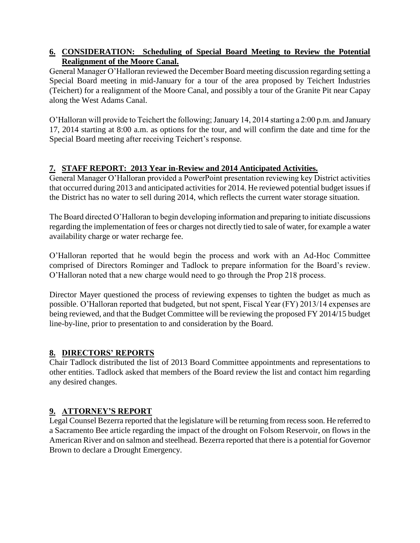# **6. CONSIDERATION: Scheduling of Special Board Meeting to Review the Potential Realignment of the Moore Canal.**

General Manager O'Halloran reviewed the December Board meeting discussion regarding setting a Special Board meeting in mid-January for a tour of the area proposed by Teichert Industries (Teichert) for a realignment of the Moore Canal, and possibly a tour of the Granite Pit near Capay along the West Adams Canal.

O'Halloran will provide to Teichert the following; January 14, 2014 starting a 2:00 p.m. and January 17, 2014 starting at 8:00 a.m. as options for the tour, and will confirm the date and time for the Special Board meeting after receiving Teichert's response.

# **7. STAFF REPORT: 2013 Year in-Review and 2014 Anticipated Activities.**

General Manager O'Halloran provided a PowerPoint presentation reviewing key District activities that occurred during 2013 and anticipated activities for 2014. He reviewed potential budget issues if the District has no water to sell during 2014, which reflects the current water storage situation.

The Board directed O'Halloran to begin developing information and preparing to initiate discussions regarding the implementation of fees or charges not directly tied to sale of water, for example a water availability charge or water recharge fee.

O'Halloran reported that he would begin the process and work with an Ad-Hoc Committee comprised of Directors Rominger and Tadlock to prepare information for the Board's review. O'Halloran noted that a new charge would need to go through the Prop 218 process.

Director Mayer questioned the process of reviewing expenses to tighten the budget as much as possible. O'Halloran reported that budgeted, but not spent, Fiscal Year (FY) 2013/14 expenses are being reviewed, and that the Budget Committee will be reviewing the proposed FY 2014/15 budget line-by-line, prior to presentation to and consideration by the Board.

### **8. DIRECTORS' REPORTS**

Chair Tadlock distributed the list of 2013 Board Committee appointments and representations to other entities. Tadlock asked that members of the Board review the list and contact him regarding any desired changes.

# **9. ATTORNEY'S REPORT**

Legal Counsel Bezerra reported that the legislature will be returning from recess soon. He referred to a Sacramento Bee article regarding the impact of the drought on Folsom Reservoir, on flows in the American River and on salmon and steelhead. Bezerra reported that there is a potential for Governor Brown to declare a Drought Emergency.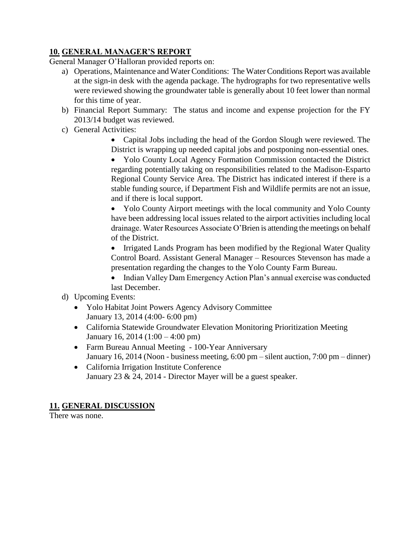# **10. GENERAL MANAGER'S REPORT**

General Manager O'Halloran provided reports on:

- a) Operations, Maintenance and Water Conditions: The Water Conditions Report was available at the sign-in desk with the agenda package. The hydrographs for two representative wells were reviewed showing the groundwater table is generally about 10 feet lower than normal for this time of year.
- b) Financial Report Summary: The status and income and expense projection for the FY 2013/14 budget was reviewed.
- c) General Activities:

 Capital Jobs including the head of the Gordon Slough were reviewed. The District is wrapping up needed capital jobs and postponing non-essential ones.

• Yolo County Local Agency Formation Commission contacted the District regarding potentially taking on responsibilities related to the Madison-Esparto Regional County Service Area. The District has indicated interest if there is a stable funding source, if Department Fish and Wildlife permits are not an issue, and if there is local support.

 Yolo County Airport meetings with the local community and Yolo County have been addressing local issues related to the airport activities including local drainage. Water Resources Associate O'Brien is attending the meetings on behalf of the District.

• Irrigated Lands Program has been modified by the Regional Water Quality Control Board. Assistant General Manager – Resources Stevenson has made a presentation regarding the changes to the Yolo County Farm Bureau.

- Indian Valley Dam Emergency Action Plan's annual exercise was conducted last December.
- d) Upcoming Events:
	- Yolo Habitat Joint Powers Agency Advisory Committee January 13, 2014 (4:00- 6:00 pm)
	- California Statewide Groundwater Elevation Monitoring Prioritization Meeting January 16, 2014 (1:00 – 4:00 pm)
	- Farm Bureau Annual Meeting 100-Year Anniversary January 16, 2014 (Noon - business meeting, 6:00 pm – silent auction, 7:00 pm – dinner)
	- California Irrigation Institute Conference January 23 & 24, 2014 - Director Mayer will be a guest speaker.

### **11. GENERAL DISCUSSION**

There was none.